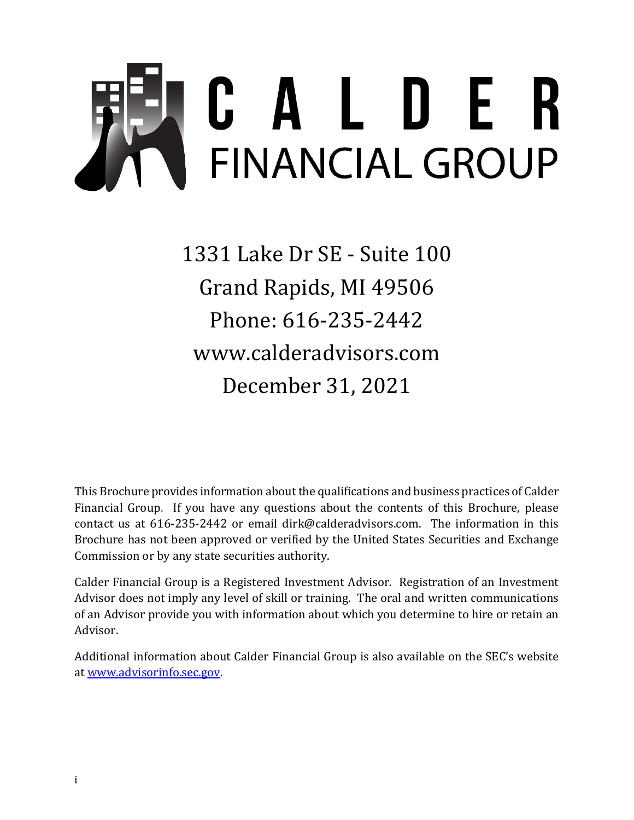# <span id="page-0-0"></span>C A L D E R<br>FINANCIAL GROUP **Item 1 – Cover Page**

1331 Lake Dr SE - Suite 100 Grand Rapids, MI 49506 Phone: 616-235-2442 www.calderadvisors.com December 31, 2021

This Brochure provides information about the qualifications and business practices of Calder Financial Group. If you have any questions about the contents of this Brochure, please contact us at 616-235-2442 or email dirk@calderadvisors.com. The information in this Brochure has not been approved or verified by the United States Securities and Exchange Commission or by any state securities authority.

Calder Financial Group is a Registered Investment Advisor. Registration of an Investment Advisor does not imply any level of skill or training. The oral and written communications of an Advisor provide you with information about which you determine to hire or retain an Advisor.

Additional information about Calder Financial Group is also available on the SEC's website at [www.advisorinfo.sec.gov.](http://www.adviserinfo.sec.gov/)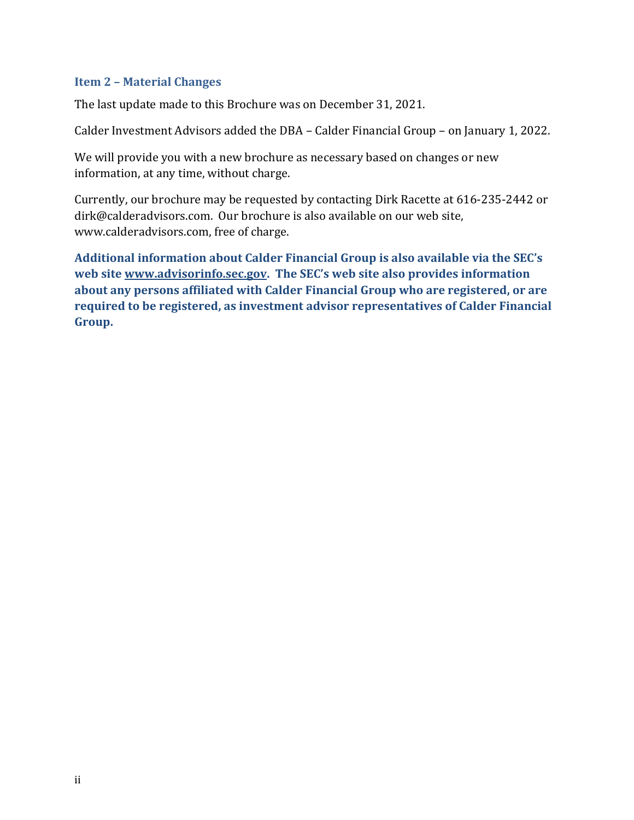#### <span id="page-1-0"></span>**Item 2 – Material Changes**

The last update made to this Brochure was on December 31, 2021.

Calder Investment Advisors added the DBA – Calder Financial Group – on January 1, 2022.

We will provide you with a new brochure as necessary based on changes or new information, at any time, without charge.

Currently, our brochure may be requested by contacting Dirk Racette at 616-235-2442 or dirk@calderadvisors.com. Our brochure is also available on our web site, www.calderadvisors.com, free of charge.

**Additional information about Calder Financial Group is also available via the SEC's web site [www.advisorinfo.sec.gov](http://www.adviserinfo.sec.gov/). The SEC's web site also provides information about any persons affiliated with Calder Financial Group who are registered, or are required to be registered, as investment advisor representatives of Calder Financial Group.**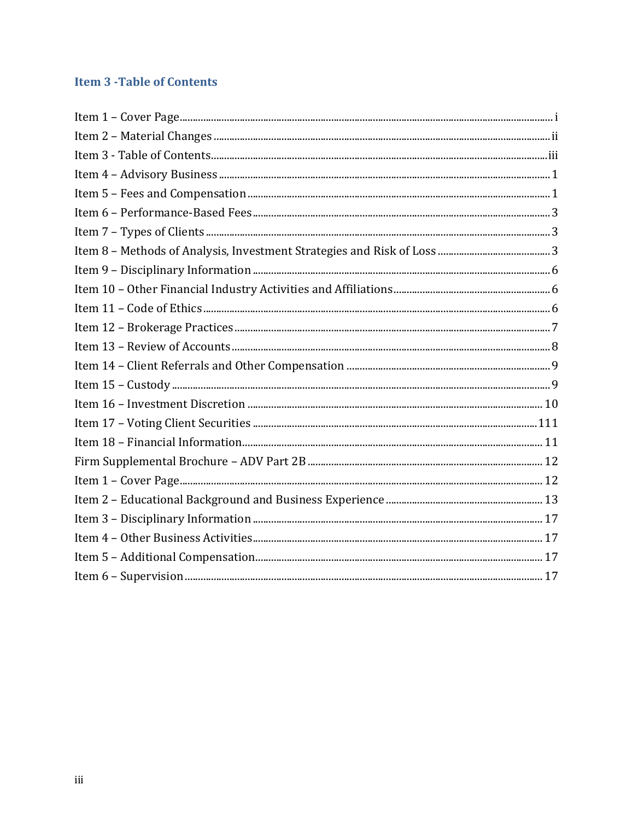# <span id="page-2-0"></span>**Item 3 - Table of Contents**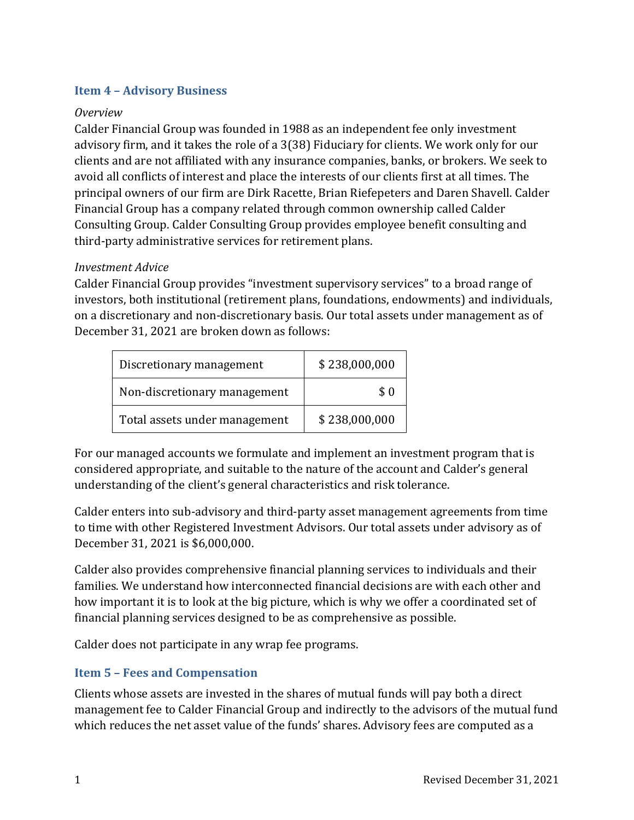#### <span id="page-3-0"></span>**Item 4 – Advisory Business**

#### *Overview*

Calder Financial Group was founded in 1988 as an independent fee only investment advisory firm, and it takes the role of a 3(38) Fiduciary for clients. We work only for our clients and are not affiliated with any insurance companies, banks, or brokers. We seek to avoid all conflicts of interest and place the interests of our clients first at all times. The principal owners of our firm are Dirk Racette, Brian Riefepeters and Daren Shavell. Calder Financial Group has a company related through common ownership called Calder Consulting Group. Calder Consulting Group provides employee benefit consulting and third-party administrative services for retirement plans.

#### *Investment Advice*

Calder Financial Group provides "investment supervisory services" to a broad range of investors, both institutional (retirement plans, foundations, endowments) and individuals, on a discretionary and non-discretionary basis. Our total assets under management as of December 31, 2021 are broken down as follows:

| Discretionary management      | \$238,000,000 |
|-------------------------------|---------------|
| Non-discretionary management  | \$0           |
| Total assets under management | \$238,000,000 |

For our managed accounts we formulate and implement an investment program that is considered appropriate, and suitable to the nature of the account and Calder's general understanding of the client's general characteristics and risk tolerance.

Calder enters into sub-advisory and third-party asset management agreements from time to time with other Registered Investment Advisors. Our total assets under advisory as of December 31, 2021 is \$6,000,000.

Calder also provides comprehensive financial planning services to individuals and their families. We understand how interconnected financial decisions are with each other and how important it is to look at the big picture, which is why we offer a coordinated set of financial planning services designed to be as comprehensive as possible.

Calder does not participate in any wrap fee programs.

# <span id="page-3-1"></span>**Item 5 – Fees and Compensation**

Clients whose assets are invested in the shares of mutual funds will pay both a direct management fee to Calder Financial Group and indirectly to the advisors of the mutual fund which reduces the net asset value of the funds' shares. Advisory fees are computed as a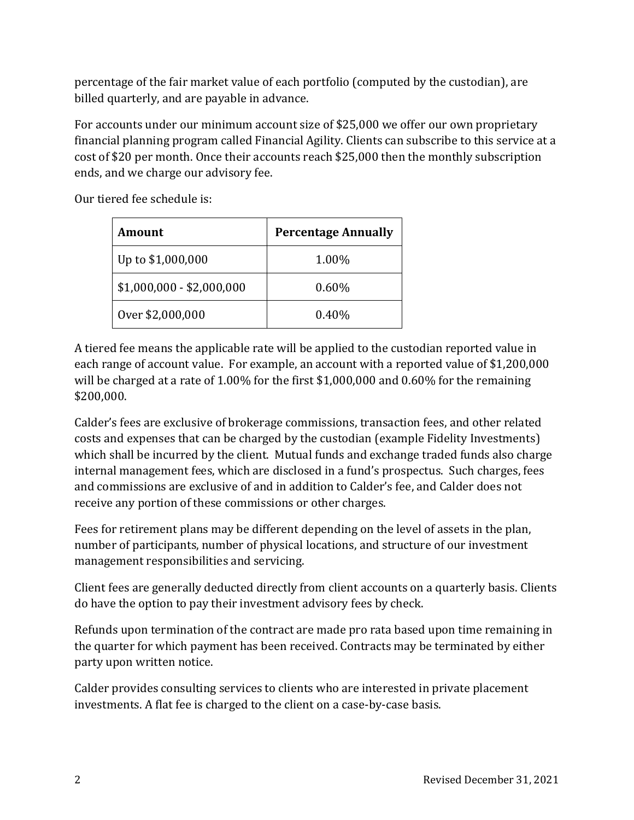percentage of the fair market value of each portfolio (computed by the custodian), are billed quarterly, and are payable in advance.

For accounts under our minimum account size of \$25,000 we offer our own proprietary financial planning program called Financial Agility. Clients can subscribe to this service at a cost of \$20 per month. Once their accounts reach \$25,000 then the monthly subscription ends, and we charge our advisory fee.

Our tiered fee schedule is:

| Amount                    | <b>Percentage Annually</b> |
|---------------------------|----------------------------|
| Up to \$1,000,000         | 1.00%                      |
| $$1,000,000 - $2,000,000$ | 0.60%                      |
| Over \$2,000,000          | $0.40\%$                   |

A tiered fee means the applicable rate will be applied to the custodian reported value in each range of account value. For example, an account with a reported value of \$1,200,000 will be charged at a rate of 1.00% for the first \$1,000,000 and 0.60% for the remaining \$200,000.

Calder's fees are exclusive of brokerage commissions, transaction fees, and other related costs and expenses that can be charged by the custodian (example Fidelity Investments) which shall be incurred by the client. Mutual funds and exchange traded funds also charge internal management fees, which are disclosed in a fund's prospectus. Such charges, fees and commissions are exclusive of and in addition to Calder's fee, and Calder does not receive any portion of these commissions or other charges.

Fees for retirement plans may be different depending on the level of assets in the plan, number of participants, number of physical locations, and structure of our investment management responsibilities and servicing.

Client fees are generally deducted directly from client accounts on a quarterly basis. Clients do have the option to pay their investment advisory fees by check.

Refunds upon termination of the contract are made pro rata based upon time remaining in the quarter for which payment has been received. Contracts may be terminated by either party upon written notice.

Calder provides consulting services to clients who are interested in private placement investments. A flat fee is charged to the client on a case-by-case basis.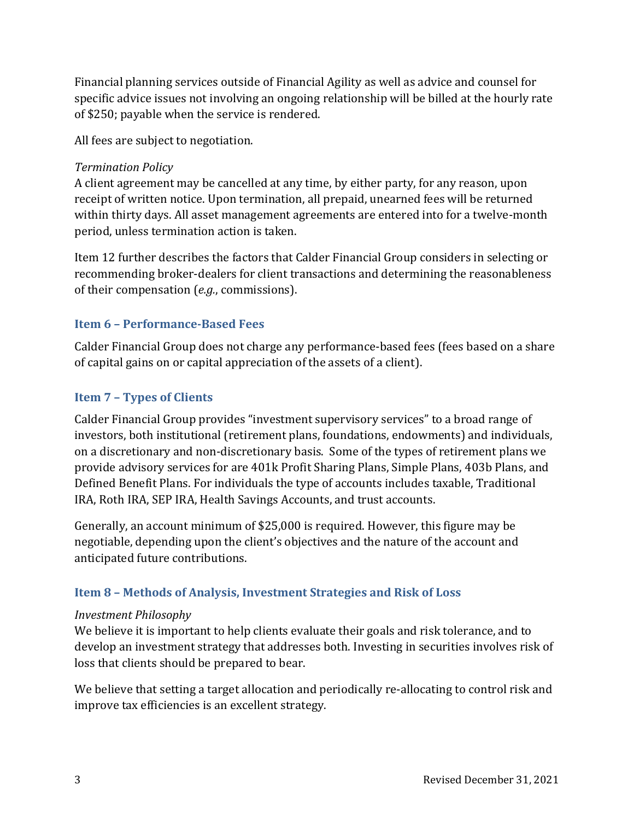Financial planning services outside of Financial Agility as well as advice and counsel for specific advice issues not involving an ongoing relationship will be billed at the hourly rate of \$250; payable when the service is rendered.

All fees are subject to negotiation.

## *Termination Policy*

A client agreement may be cancelled at any time, by either party, for any reason, upon receipt of written notice. Upon termination, all prepaid, unearned fees will be returned within thirty days. All asset management agreements are entered into for a twelve-month period, unless termination action is taken.

Item 12 further describes the factors that Calder Financial Group considers in selecting or recommending broker-dealers for client transactions and determining the reasonableness of their compensation (*e.g.*, commissions).

# <span id="page-5-0"></span>**Item 6 – Performance-Based Fees**

Calder Financial Group does not charge any performance-based fees (fees based on a share of capital gains on or capital appreciation of the assets of a client).

# <span id="page-5-1"></span>**Item 7 – Types of Clients**

Calder Financial Group provides "investment supervisory services" to a broad range of investors, both institutional (retirement plans, foundations, endowments) and individuals, on a discretionary and non-discretionary basis. Some of the types of retirement plans we provide advisory services for are 401k Profit Sharing Plans, Simple Plans, 403b Plans, and Defined Benefit Plans. For individuals the type of accounts includes taxable, Traditional IRA, Roth IRA, SEP IRA, Health Savings Accounts, and trust accounts.

Generally, an account minimum of \$25,000 is required. However, this figure may be negotiable, depending upon the client's objectives and the nature of the account and anticipated future contributions.

# <span id="page-5-2"></span>**Item 8 – Methods of Analysis, Investment Strategies and Risk of Loss**

# *Investment Philosophy*

We believe it is important to help clients evaluate their goals and risk tolerance, and to develop an investment strategy that addresses both. Investing in securities involves risk of loss that clients should be prepared to bear.

We believe that setting a target allocation and periodically re-allocating to control risk and improve tax efficiencies is an excellent strategy.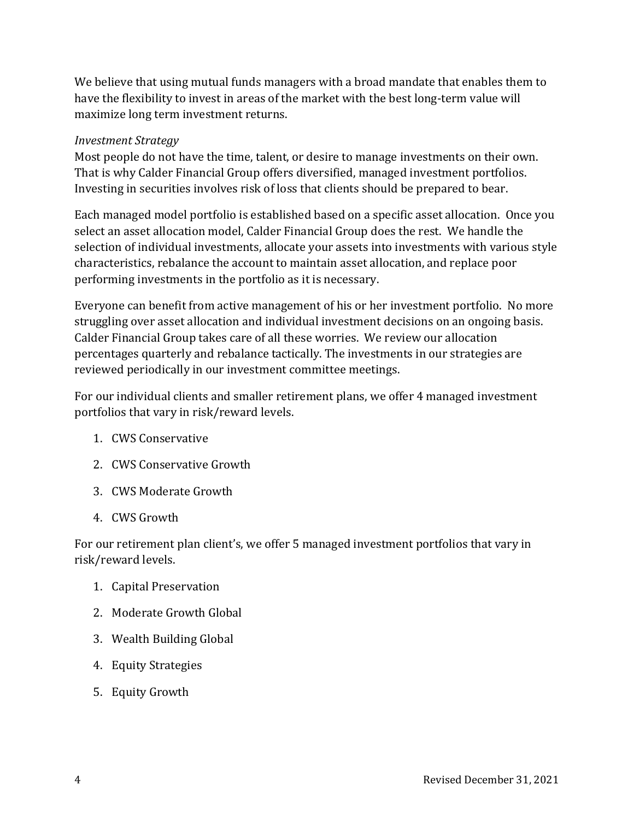We believe that using mutual funds managers with a broad mandate that enables them to have the flexibility to invest in areas of the market with the best long-term value will maximize long term investment returns.

#### *Investment Strategy*

Most people do not have the time, talent, or desire to manage investments on their own. That is why Calder Financial Group offers diversified, managed investment portfolios. Investing in securities involves risk of loss that clients should be prepared to bear.

Each managed model portfolio is established based on a specific asset allocation. Once you select an asset allocation model, Calder Financial Group does the rest. We handle the selection of individual investments, allocate your assets into investments with various style characteristics, rebalance the account to maintain asset allocation, and replace poor performing investments in the portfolio as it is necessary.

Everyone can benefit from active management of his or her investment portfolio. No more struggling over asset allocation and individual investment decisions on an ongoing basis. Calder Financial Group takes care of all these worries. We review our allocation percentages quarterly and rebalance tactically. The investments in our strategies are reviewed periodically in our investment committee meetings.

For our individual clients and smaller retirement plans, we offer 4 managed investment portfolios that vary in risk/reward levels.

- 1. CWS Conservative
- 2. CWS Conservative Growth
- 3. CWS Moderate Growth
- 4. CWS Growth

For our retirement plan client's, we offer 5 managed investment portfolios that vary in risk/reward levels.

- 1. Capital Preservation
- 2. Moderate Growth Global
- 3. Wealth Building Global
- 4. Equity Strategies
- 5. Equity Growth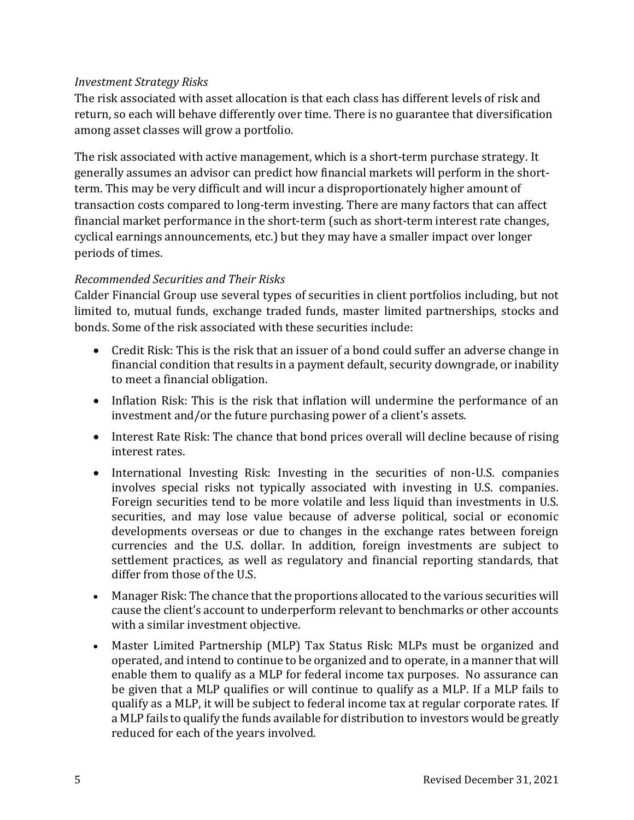## *Investment Strategy Risks*

The risk associated with asset allocation is that each class has different levels of risk and return, so each will behave differently over time. There is no guarantee that diversification among asset classes will grow a portfolio.

The risk associated with active management, which is a short-term purchase strategy. It generally assumes an advisor can predict how financial markets will perform in the shortterm. This may be very difficult and will incur a disproportionately higher amount of transaction costs compared to long-term investing. There are many factors that can affect financial market performance in the short-term (such as short-term interest rate changes, cyclical earnings announcements, etc.) but they may have a smaller impact over longer periods of times.

# *Recommended Securities and Their Risks*

Calder Financial Group use several types of securities in client portfolios including, but not limited to, mutual funds, exchange traded funds, master limited partnerships, stocks and bonds. Some of the risk associated with these securities include:

- Credit Risk: This is the risk that an issuer of a bond could suffer an adverse change in financial condition that results in a payment default, security downgrade, or inability to meet a financial obligation.
- Inflation Risk: This is the risk that inflation will undermine the performance of an investment and/or the future purchasing power of a client's assets.
- Interest Rate Risk: The chance that bond prices overall will decline because of rising interest rates.
- International Investing Risk: Investing in the securities of non-U.S. companies involves special risks not typically associated with investing in U.S. companies. Foreign securities tend to be more volatile and less liquid than investments in U.S. securities, and may lose value because of adverse political, social or economic developments overseas or due to changes in the exchange rates between foreign currencies and the U.S. dollar. In addition, foreign investments are subject to settlement practices, as well as regulatory and financial reporting standards, that differ from those of the U.S.
- Manager Risk: The chance that the proportions allocated to the various securities will cause the client's account to underperform relevant to benchmarks or other accounts with a similar investment objective.
- Master Limited Partnership (MLP) Tax Status Risk: MLPs must be organized and operated, and intend to continue to be organized and to operate, in a manner that will enable them to qualify as a MLP for federal income tax purposes. No assurance can be given that a MLP qualifies or will continue to qualify as a MLP. If a MLP fails to qualify as a MLP, it will be subject to federal income tax at regular corporate rates. If a MLP fails to qualify the funds available for distribution to investors would be greatly reduced for each of the years involved.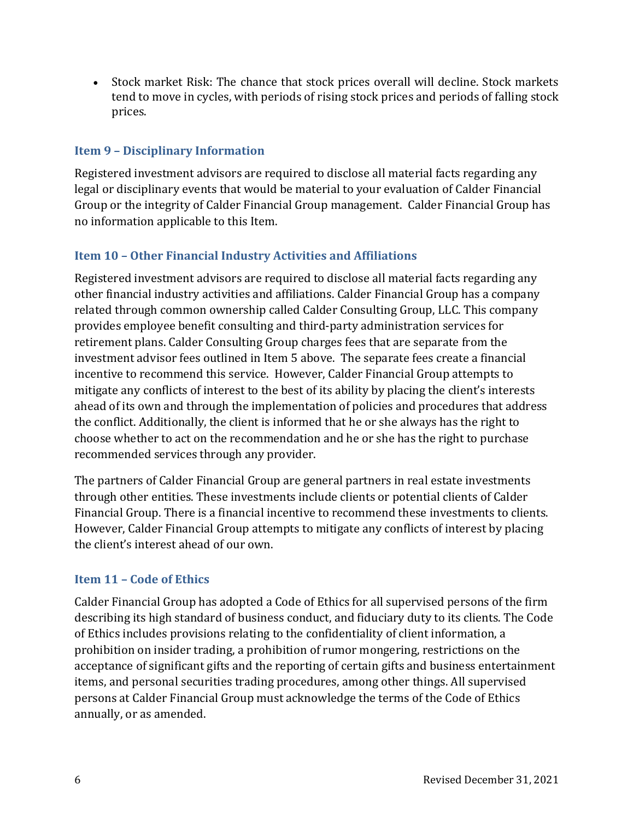• Stock market Risk: The chance that stock prices overall will decline. Stock markets tend to move in cycles, with periods of rising stock prices and periods of falling stock prices.

# <span id="page-8-0"></span>**Item 9 – Disciplinary Information**

Registered investment advisors are required to disclose all material facts regarding any legal or disciplinary events that would be material to your evaluation of Calder Financial Group or the integrity of Calder Financial Group management. Calder Financial Group has no information applicable to this Item.

# <span id="page-8-1"></span>**Item 10 – Other Financial Industry Activities and Affiliations**

Registered investment advisors are required to disclose all material facts regarding any other financial industry activities and affiliations. Calder Financial Group has a company related through common ownership called Calder Consulting Group, LLC. This company provides employee benefit consulting and third-party administration services for retirement plans. Calder Consulting Group charges fees that are separate from the investment advisor fees outlined in Item 5 above. The separate fees create a financial incentive to recommend this service. However, Calder Financial Group attempts to mitigate any conflicts of interest to the best of its ability by placing the client's interests ahead of its own and through the implementation of policies and procedures that address the conflict. Additionally, the client is informed that he or she always has the right to choose whether to act on the recommendation and he or she has the right to purchase recommended services through any provider.

The partners of Calder Financial Group are general partners in real estate investments through other entities. These investments include clients or potential clients of Calder Financial Group. There is a financial incentive to recommend these investments to clients. However, Calder Financial Group attempts to mitigate any conflicts of interest by placing the client's interest ahead of our own.

# <span id="page-8-2"></span>**Item 11 – Code of Ethics**

Calder Financial Group has adopted a Code of Ethics for all supervised persons of the firm describing its high standard of business conduct, and fiduciary duty to its clients. The Code of Ethics includes provisions relating to the confidentiality of client information, a prohibition on insider trading, a prohibition of rumor mongering, restrictions on the acceptance of significant gifts and the reporting of certain gifts and business entertainment items, and personal securities trading procedures, among other things. All supervised persons at Calder Financial Group must acknowledge the terms of the Code of Ethics annually, or as amended.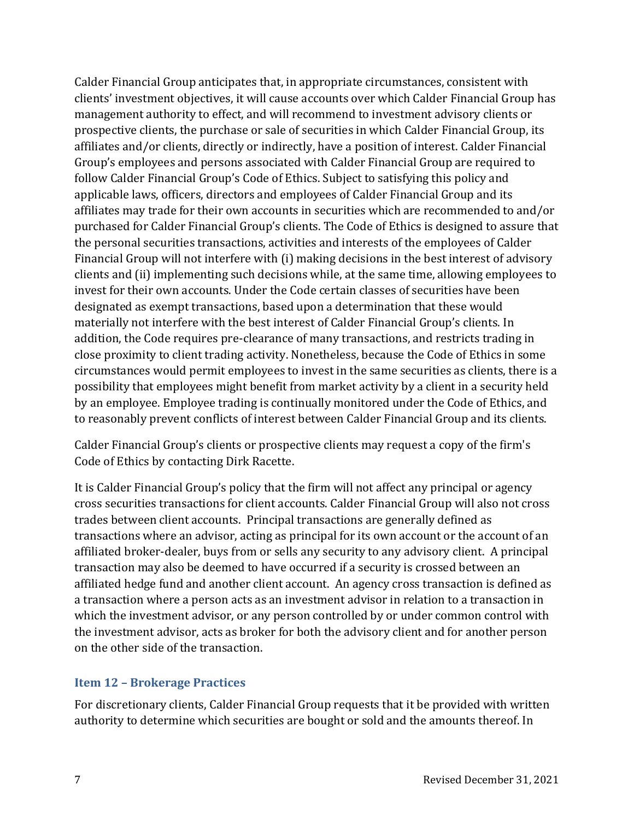Calder Financial Group anticipates that, in appropriate circumstances, consistent with clients' investment objectives, it will cause accounts over which Calder Financial Group has management authority to effect, and will recommend to investment advisory clients or prospective clients, the purchase or sale of securities in which Calder Financial Group, its affiliates and/or clients, directly or indirectly, have a position of interest. Calder Financial Group's employees and persons associated with Calder Financial Group are required to follow Calder Financial Group's Code of Ethics. Subject to satisfying this policy and applicable laws, officers, directors and employees of Calder Financial Group and its affiliates may trade for their own accounts in securities which are recommended to and/or purchased for Calder Financial Group's clients. The Code of Ethics is designed to assure that the personal securities transactions, activities and interests of the employees of Calder Financial Group will not interfere with (i) making decisions in the best interest of advisory clients and (ii) implementing such decisions while, at the same time, allowing employees to invest for their own accounts. Under the Code certain classes of securities have been designated as exempt transactions, based upon a determination that these would materially not interfere with the best interest of Calder Financial Group's clients. In addition, the Code requires pre-clearance of many transactions, and restricts trading in close proximity to client trading activity. Nonetheless, because the Code of Ethics in some circumstances would permit employees to invest in the same securities as clients, there is a possibility that employees might benefit from market activity by a client in a security held by an employee. Employee trading is continually monitored under the Code of Ethics, and to reasonably prevent conflicts of interest between Calder Financial Group and its clients.

Calder Financial Group's clients or prospective clients may request a copy of the firm's Code of Ethics by contacting Dirk Racette.

It is Calder Financial Group's policy that the firm will not affect any principal or agency cross securities transactions for client accounts. Calder Financial Group will also not cross trades between client accounts. Principal transactions are generally defined as transactions where an advisor, acting as principal for its own account or the account of an affiliated broker-dealer, buys from or sells any security to any advisory client. A principal transaction may also be deemed to have occurred if a security is crossed between an affiliated hedge fund and another client account. An agency cross transaction is defined as a transaction where a person acts as an investment advisor in relation to a transaction in which the investment advisor, or any person controlled by or under common control with the investment advisor, acts as broker for both the advisory client and for another person on the other side of the transaction.

#### <span id="page-9-0"></span>**Item 12 – Brokerage Practices**

For discretionary clients, Calder Financial Group requests that it be provided with written authority to determine which securities are bought or sold and the amounts thereof. In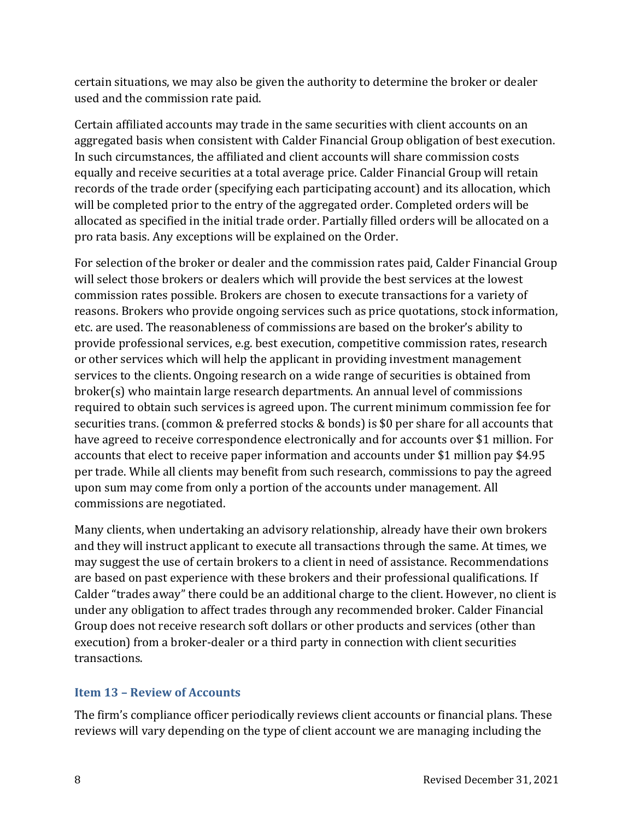certain situations, we may also be given the authority to determine the broker or dealer used and the commission rate paid.

Certain affiliated accounts may trade in the same securities with client accounts on an aggregated basis when consistent with Calder Financial Group obligation of best execution. In such circumstances, the affiliated and client accounts will share commission costs equally and receive securities at a total average price. Calder Financial Group will retain records of the trade order (specifying each participating account) and its allocation, which will be completed prior to the entry of the aggregated order. Completed orders will be allocated as specified in the initial trade order. Partially filled orders will be allocated on a pro rata basis. Any exceptions will be explained on the Order.

For selection of the broker or dealer and the commission rates paid, Calder Financial Group will select those brokers or dealers which will provide the best services at the lowest commission rates possible. Brokers are chosen to execute transactions for a variety of reasons. Brokers who provide ongoing services such as price quotations, stock information, etc. are used. The reasonableness of commissions are based on the broker's ability to provide professional services, e.g. best execution, competitive commission rates, research or other services which will help the applicant in providing investment management services to the clients. Ongoing research on a wide range of securities is obtained from broker(s) who maintain large research departments. An annual level of commissions required to obtain such services is agreed upon. The current minimum commission fee for securities trans. (common & preferred stocks & bonds) is \$0 per share for all accounts that have agreed to receive correspondence electronically and for accounts over \$1 million. For accounts that elect to receive paper information and accounts under \$1 million pay \$4.95 per trade. While all clients may benefit from such research, commissions to pay the agreed upon sum may come from only a portion of the accounts under management. All commissions are negotiated.

Many clients, when undertaking an advisory relationship, already have their own brokers and they will instruct applicant to execute all transactions through the same. At times, we may suggest the use of certain brokers to a client in need of assistance. Recommendations are based on past experience with these brokers and their professional qualifications. If Calder "trades away" there could be an additional charge to the client. However, no client is under any obligation to affect trades through any recommended broker. Calder Financial Group does not receive research soft dollars or other products and services (other than execution) from a broker-dealer or a third party in connection with client securities transactions.

# <span id="page-10-0"></span>**Item 13 – Review of Accounts**

The firm's compliance officer periodically reviews client accounts or financial plans. These reviews will vary depending on the type of client account we are managing including the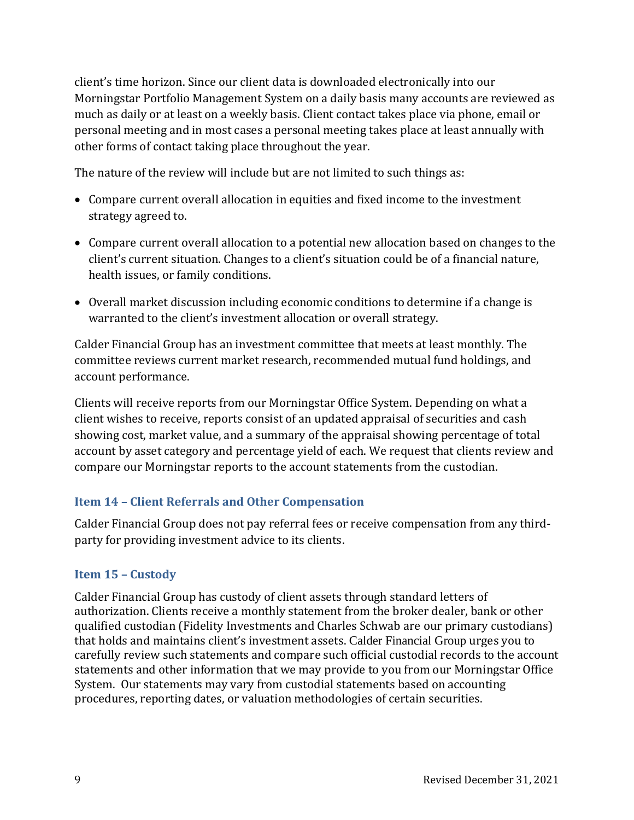client's time horizon. Since our client data is downloaded electronically into our Morningstar Portfolio Management System on a daily basis many accounts are reviewed as much as daily or at least on a weekly basis. Client contact takes place via phone, email or personal meeting and in most cases a personal meeting takes place at least annually with other forms of contact taking place throughout the year.

The nature of the review will include but are not limited to such things as:

- Compare current overall allocation in equities and fixed income to the investment strategy agreed to.
- Compare current overall allocation to a potential new allocation based on changes to the client's current situation. Changes to a client's situation could be of a financial nature, health issues, or family conditions.
- Overall market discussion including economic conditions to determine if a change is warranted to the client's investment allocation or overall strategy.

Calder Financial Group has an investment committee that meets at least monthly. The committee reviews current market research, recommended mutual fund holdings, and account performance.

Clients will receive reports from our Morningstar Office System. Depending on what a client wishes to receive, reports consist of an updated appraisal of securities and cash showing cost, market value, and a summary of the appraisal showing percentage of total account by asset category and percentage yield of each. We request that clients review and compare our Morningstar reports to the account statements from the custodian.

# <span id="page-11-0"></span>**Item 14 – Client Referrals and Other Compensation**

Calder Financial Group does not pay referral fees or receive compensation from any thirdparty for providing investment advice to its clients.

# <span id="page-11-1"></span>**Item 15 – Custody**

Calder Financial Group has custody of client assets through standard letters of authorization. Clients receive a monthly statement from the broker dealer, bank or other qualified custodian (Fidelity Investments and Charles Schwab are our primary custodians) that holds and maintains client's investment assets. Calder Financial Group urges you to carefully review such statements and compare such official custodial records to the account statements and other information that we may provide to you from our Morningstar Office System. Our statements may vary from custodial statements based on accounting procedures, reporting dates, or valuation methodologies of certain securities.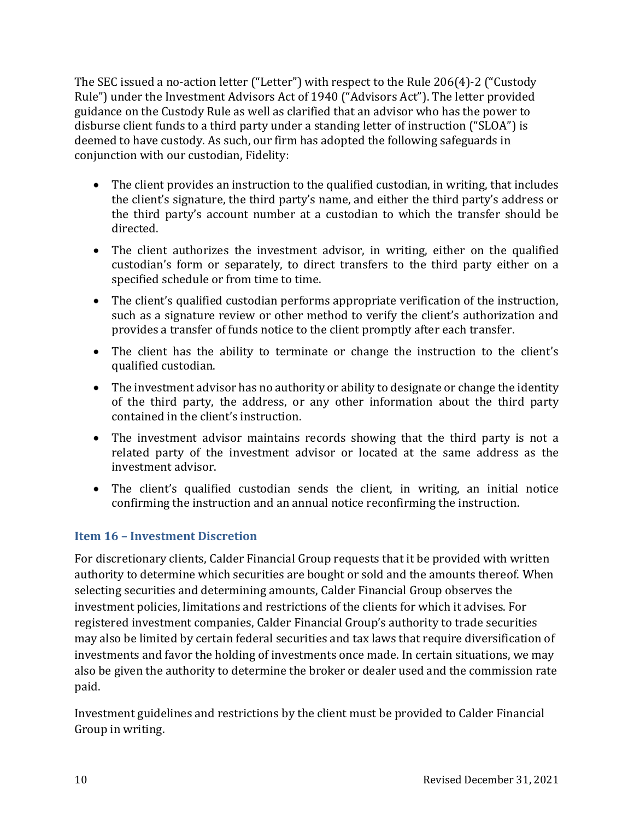The SEC issued a no‐action letter ("Letter") with respect to the Rule 206(4)‐2 ("Custody Rule") under the Investment Advisors Act of 1940 ("Advisors Act"). The letter provided guidance on the Custody Rule as well as clarified that an advisor who has the power to disburse client funds to a third party under a standing letter of instruction ("SLOA") is deemed to have custody. As such, our firm has adopted the following safeguards in conjunction with our custodian, Fidelity:

- The client provides an instruction to the qualified custodian, in writing, that includes the client's signature, the third party's name, and either the third party's address or the third party's account number at a custodian to which the transfer should be directed.
- The client authorizes the investment advisor, in writing, either on the qualified custodian's form or separately, to direct transfers to the third party either on a specified schedule or from time to time.
- The client's qualified custodian performs appropriate verification of the instruction, such as a signature review or other method to verify the client's authorization and provides a transfer of funds notice to the client promptly after each transfer.
- The client has the ability to terminate or change the instruction to the client's qualified custodian.
- The investment advisor has no authority or ability to designate or change the identity of the third party, the address, or any other information about the third party contained in the client's instruction.
- The investment advisor maintains records showing that the third party is not a related party of the investment advisor or located at the same address as the investment advisor.
- The client's qualified custodian sends the client, in writing, an initial notice confirming the instruction and an annual notice reconfirming the instruction.

# <span id="page-12-0"></span>**Item 16 – Investment Discretion**

For discretionary clients, Calder Financial Group requests that it be provided with written authority to determine which securities are bought or sold and the amounts thereof. When selecting securities and determining amounts, Calder Financial Group observes the investment policies, limitations and restrictions of the clients for which it advises. For registered investment companies, Calder Financial Group's authority to trade securities may also be limited by certain federal securities and tax laws that require diversification of investments and favor the holding of investments once made. In certain situations, we may also be given the authority to determine the broker or dealer used and the commission rate paid.

Investment guidelines and restrictions by the client must be provided to Calder Financial Group in writing.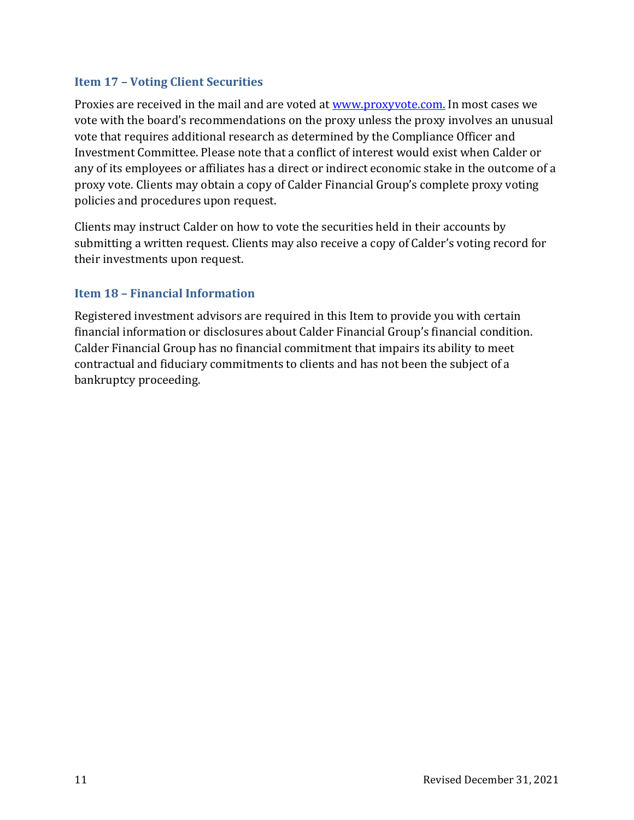#### <span id="page-13-0"></span>**Item 17 – Voting Client Securities**

Proxies are received in the mail and are voted at [www.proxyvote.com.](http://www.proxyvote.com/) In most cases we vote with the board's recommendations on the proxy unless the proxy involves an unusual vote that requires additional research as determined by the Compliance Officer and Investment Committee. Please note that a conflict of interest would exist when Calder or any of its employees or affiliates has a direct or indirect economic stake in the outcome of a proxy vote. Clients may obtain a copy of Calder Financial Group's complete proxy voting policies and procedures upon request.

Clients may instruct Calder on how to vote the securities held in their accounts by submitting a written request. Clients may also receive a copy of Calder's voting record for their investments upon request.

# <span id="page-13-1"></span>**Item 18 – Financial Information**

Registered investment advisors are required in this Item to provide you with certain financial information or disclosures about Calder Financial Group's financial condition. Calder Financial Group has no financial commitment that impairs its ability to meet contractual and fiduciary commitments to clients and has not been the subject of a bankruptcy proceeding.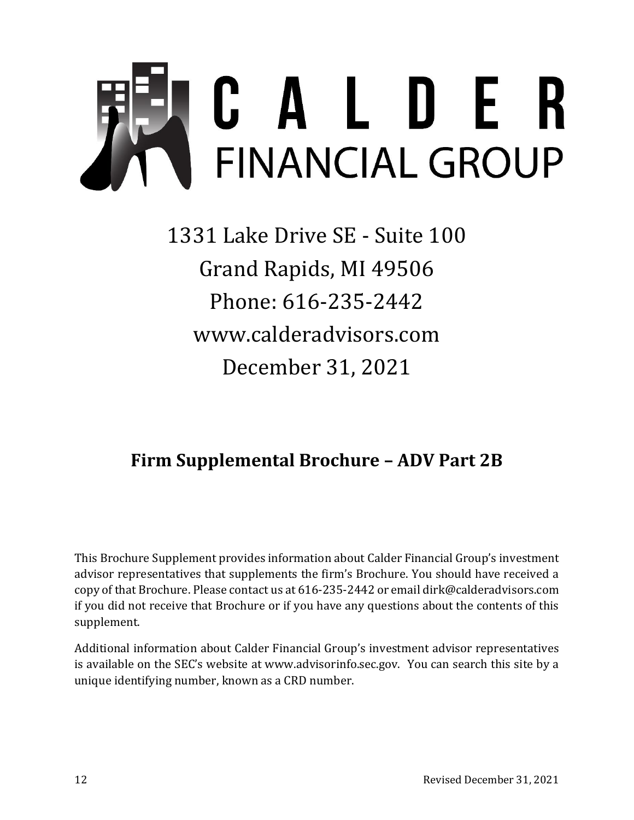

1331 Lake Drive SE - Suite 100 Grand Rapids, MI 49506 Phone: 616-235-2442 www.calderadvisors.com December 31, 2021

# <span id="page-14-0"></span>**Firm Supplemental Brochure – ADV Part 2B**

<span id="page-14-1"></span>This Brochure Supplement provides information about Calder Financial Group's investment advisor representatives that supplements the firm's Brochure. You should have received a copy of that Brochure. Please contact us at 616-235-2442 or email dirk@calderadvisors.com if you did not receive that Brochure or if you have any questions about the contents of this supplement.

Additional information about Calder Financial Group's investment advisor representatives is available on the SEC's website at www.advisorinfo.sec.gov. You can search this site by a unique identifying number, known as a CRD number.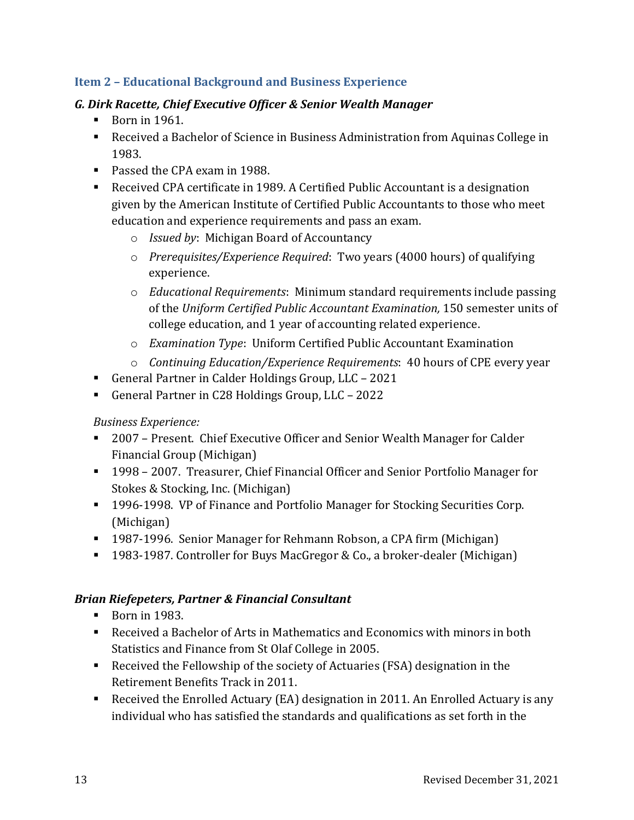# <span id="page-15-0"></span>**Item 2 – Educational Background and Business Experience**

# *G. Dirk Racette, Chief Executive Officer & Senior Wealth Manager*

- $\blacksquare$  Born in 1961.
- Received a Bachelor of Science in Business Administration from Aquinas College in 1983.
- Passed the CPA exam in 1988.
- Received CPA certificate in 1989. A Certified Public Accountant is a designation given by the American Institute of Certified Public Accountants to those who meet education and experience requirements and pass an exam.
	- o *Issued by*: Michigan Board of Accountancy
	- o *Prerequisites/Experience Required*: Two years (4000 hours) of qualifying experience.
	- o *Educational Requirements*: Minimum standard requirements include passing of the *Uniform Certified Public Accountant Examination,* 150 semester units of college education, and 1 year of accounting related experience.
	- o *Examination Type*: Uniform Certified Public Accountant Examination
	- o *Continuing Education/Experience Requirements*: 40 hours of CPE every year
- General Partner in Calder Holdings Group, LLC 2021
- General Partner in C28 Holdings Group, LLC 2022

*Business Experience:*

- 2007 Present. Chief Executive Officer and Senior Wealth Manager for Calder Financial Group (Michigan)
- 1998 2007. Treasurer, Chief Financial Officer and Senior Portfolio Manager for Stokes & Stocking, Inc. (Michigan)
- 1996-1998. VP of Finance and Portfolio Manager for Stocking Securities Corp. (Michigan)
- 1987-1996. Senior Manager for Rehmann Robson, a CPA firm (Michigan)
- 1983-1987. Controller for Buys MacGregor & Co., a broker-dealer (Michigan)

#### *Brian Riefepeters, Partner & Financial Consultant*

- Born in 1983.
- Received a Bachelor of Arts in Mathematics and Economics with minors in both Statistics and Finance from St Olaf College in 2005.
- Received the Fellowship of the society of Actuaries (FSA) designation in the Retirement Benefits Track in 2011.
- Received the Enrolled Actuary (EA) designation in 2011. An Enrolled Actuary is any individual who has satisfied the standards and qualifications as set forth in the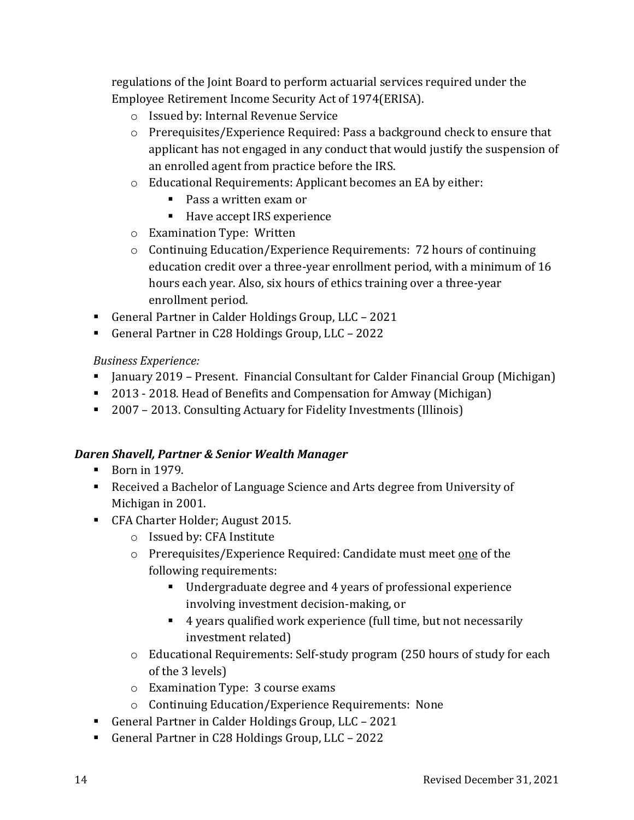regulations of the Joint Board to perform actuarial services required under the Employee Retirement Income Security Act of 1974(ERISA).

- o Issued by: Internal Revenue Service
- o Prerequisites/Experience Required: Pass a background check to ensure that applicant has not engaged in any conduct that would justify the suspension of an enrolled agent from practice before the IRS.
- o Educational Requirements: Applicant becomes an EA by either:
	- Pass a written exam or
	- Have accept IRS experience
- o Examination Type: Written
- o Continuing Education/Experience Requirements: 72 hours of continuing education credit over a three-year enrollment period, with a minimum of 16 hours each year. Also, six hours of ethics training over a three-year enrollment period.
- General Partner in Calder Holdings Group, LLC 2021
- General Partner in C28 Holdings Group, LLC 2022

# *Business Experience:*

- January 2019 Present. Financial Consultant for Calder Financial Group (Michigan)
- 2013 2018. Head of Benefits and Compensation for Amway (Michigan)
- 2007 2013. Consulting Actuary for Fidelity Investments (Illinois)

# *Daren Shavell, Partner & Senior Wealth Manager*

- $\blacksquare$  Born in 1979.
- Received a Bachelor of Language Science and Arts degree from University of Michigan in 2001.
- CFA Charter Holder; August 2015.
	- o Issued by: CFA Institute
	- o Prerequisites/Experience Required: Candidate must meet one of the following requirements:
		- Undergraduate degree and 4 years of professional experience involving investment decision-making, or
		- 4 years qualified work experience (full time, but not necessarily investment related)
	- o Educational Requirements: [Self-study program](http://www.cfainstitute.org/cfaprog/index.html) (250 hours of study for each of the 3 levels)
	- o Examination Type: 3 course exams
	- o Continuing Education/Experience Requirements: None
- General Partner in Calder Holdings Group, LLC 2021
- General Partner in C28 Holdings Group, LLC 2022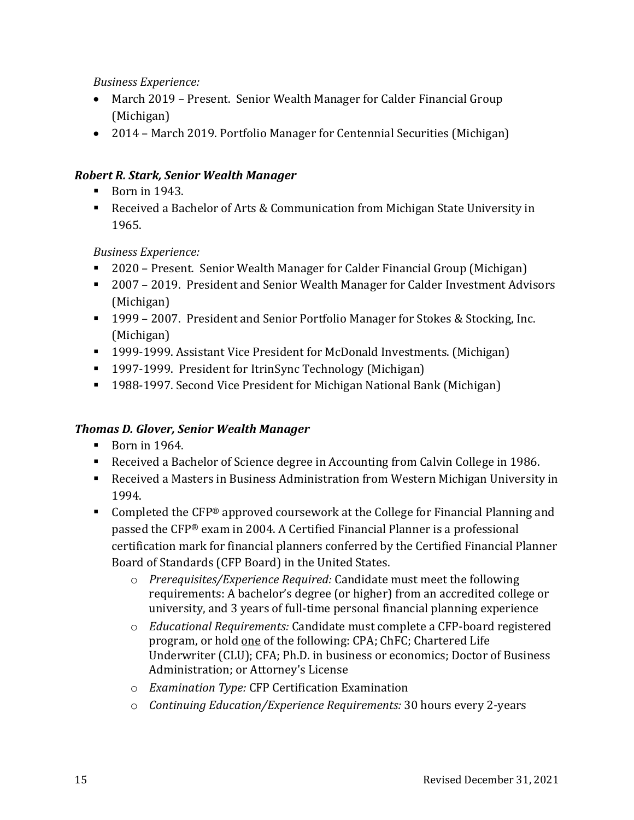# *Business Experience:*

- March 2019 Present. Senior Wealth Manager for Calder Financial Group (Michigan)
- 2014 March 2019. Portfolio Manager for Centennial Securities (Michigan)

# *Robert R. Stark, Senior Wealth Manager*

- $\blacksquare$  Born in 1943.
- Received a Bachelor of Arts & Communication from Michigan State University in 1965.

# *Business Experience:*

- 2020 Present. Senior Wealth Manager for Calder Financial Group (Michigan)
- 2007 2019. President and Senior Wealth Manager for Calder Investment Advisors (Michigan)
- 1999 2007. President and Senior Portfolio Manager for Stokes & Stocking, Inc. (Michigan)
- 1999-1999. Assistant Vice President for McDonald Investments. (Michigan)
- 1997-1999. President for ItrinSync Technology (Michigan)
- 1988-1997. Second Vice President for Michigan National Bank (Michigan)

# *Thomas D. Glover, Senior Wealth Manager*

- $\blacksquare$  Born in 1964.
- Received a Bachelor of Science degree in Accounting from Calvin College in 1986.
- Received a Masters in Business Administration from Western Michigan University in 1994.
- Completed the CFP® approved coursework at the College for Financial Planning and passed the CFP® exam in 2004. A Certified Financial Planner is a professional certification mark for financial planners conferred by the Certified Financial Planner Board of Standards (CFP Board) in the United States.
	- o *Prerequisites/Experience Required:* Candidate must meet the following requirements: A bachelor's degree (or higher) from an accredited college or university, and 3 years of full-time personal financial planning experience
	- o *Educational Requirements:* Candidate must complete a [CFP-board registered](http://www.cfp.net/become/programs.asp)  [program,](http://www.cfp.net/become/programs.asp) or hold one of the following: CPA; ChFC; Chartered Life Underwriter (CLU); CFA; Ph.D. in business or economics; Doctor of Business Administration; or Attorney's License
	- o *Examination Type:* CFP Certification Examination
	- o *Continuing Education/Experience Requirements:* 30 hours every 2-years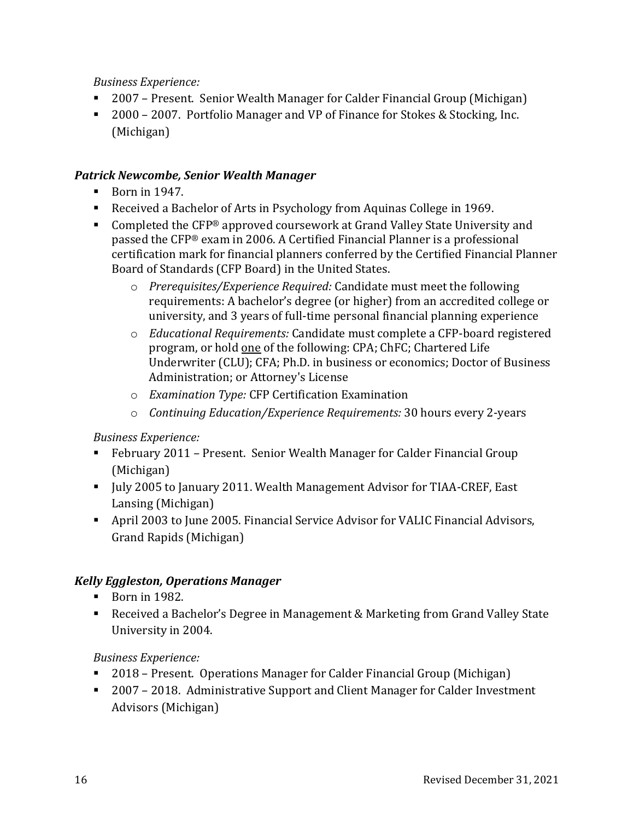*Business Experience:*

- 2007 Present. Senior Wealth Manager for Calder Financial Group (Michigan)
- 2000 2007. Portfolio Manager and VP of Finance for Stokes & Stocking, Inc. (Michigan)

# *Patrick Newcombe, Senior Wealth Manager*

- $\blacksquare$  Born in 1947.
- Received a Bachelor of Arts in Psychology from Aquinas College in 1969.
- Completed the CFP® approved coursework at Grand Valley State University and passed the CFP® exam in 2006. A Certified Financial Planner is a professional certification mark for financial planners conferred by the Certified Financial Planner Board of Standards (CFP Board) in the United States.
	- o *Prerequisites/Experience Required:* Candidate must meet the following requirements: A bachelor's degree (or higher) from an accredited college or university, and 3 years of full-time personal financial planning experience
	- o *Educational Requirements:* Candidate must complete a [CFP-board registered](http://www.cfp.net/become/programs.asp)  [program,](http://www.cfp.net/become/programs.asp) or hold one of the following: CPA; ChFC; Chartered Life Underwriter (CLU); CFA; Ph.D. in business or economics; Doctor of Business Administration; or Attorney's License
	- o *Examination Type:* CFP Certification Examination
	- o *Continuing Education/Experience Requirements:* 30 hours every 2-years

# *Business Experience:*

- February 2011 Present. Senior Wealth Manager for Calder Financial Group (Michigan)
- July 2005 to January 2011. Wealth Management Advisor for TIAA-CREF, East Lansing (Michigan)
- April 2003 to June 2005. Financial Service Advisor for VALIC Financial Advisors, Grand Rapids (Michigan)

# *Kelly Eggleston, Operations Manager*

- Born in 1982.
- Received a Bachelor's Degree in Management & Marketing from Grand Valley State University in 2004.

# *Business Experience:*

- 2018 Present. Operations Manager for Calder Financial Group (Michigan)
- 2007 2018. Administrative Support and Client Manager for Calder Investment Advisors (Michigan)